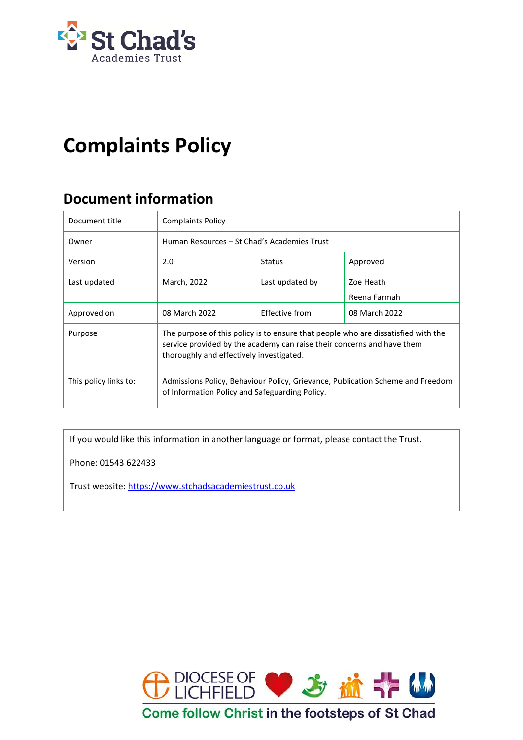

# **Complaints Policy**

# **Document information**

| Document title        | <b>Complaints Policy</b>                                                                                                                                                                                |                 |                           |  |  |  |
|-----------------------|---------------------------------------------------------------------------------------------------------------------------------------------------------------------------------------------------------|-----------------|---------------------------|--|--|--|
| Owner                 | Human Resources – St Chad's Academies Trust                                                                                                                                                             |                 |                           |  |  |  |
| Version               | 2.0                                                                                                                                                                                                     | <b>Status</b>   | Approved                  |  |  |  |
| Last updated          | March, 2022                                                                                                                                                                                             | Last updated by | Zoe Heath<br>Reena Farmah |  |  |  |
| Approved on           | 08 March 2022                                                                                                                                                                                           | Effective from  | 08 March 2022             |  |  |  |
| Purpose               | The purpose of this policy is to ensure that people who are dissatisfied with the<br>service provided by the academy can raise their concerns and have them<br>thoroughly and effectively investigated. |                 |                           |  |  |  |
| This policy links to: | Admissions Policy, Behaviour Policy, Grievance, Publication Scheme and Freedom<br>of Information Policy and Safeguarding Policy.                                                                        |                 |                           |  |  |  |

If you would like this information in another language or format, please contact the Trust.

Phone: 01543 622433

Trust website[: https://www.stchadsacademiestrust.co.uk](https://www.stchadsacademiestrust.co.uk/)

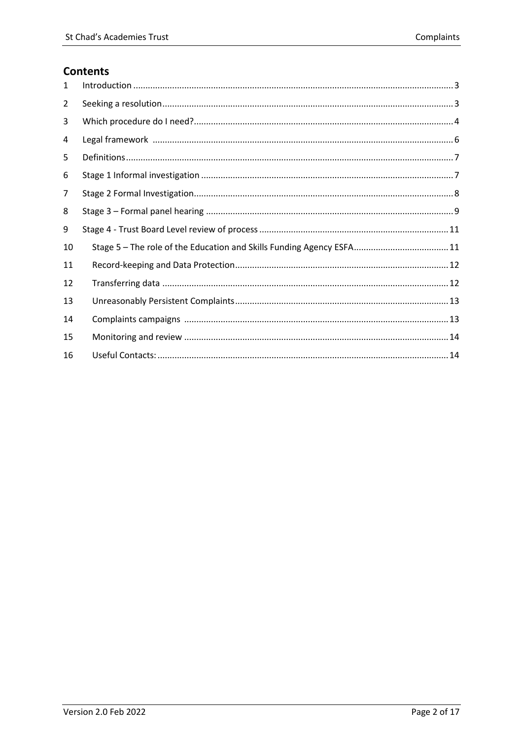# **Contents**

| 1  |                                                                       |
|----|-----------------------------------------------------------------------|
| 2  |                                                                       |
| 3  |                                                                       |
| 4  |                                                                       |
| 5  |                                                                       |
| 6  |                                                                       |
| 7  |                                                                       |
| 8  |                                                                       |
| 9  |                                                                       |
| 10 | Stage 5 - The role of the Education and Skills Funding Agency ESFA 11 |
| 11 |                                                                       |
| 12 |                                                                       |
| 13 |                                                                       |
| 14 |                                                                       |
| 15 |                                                                       |
| 16 |                                                                       |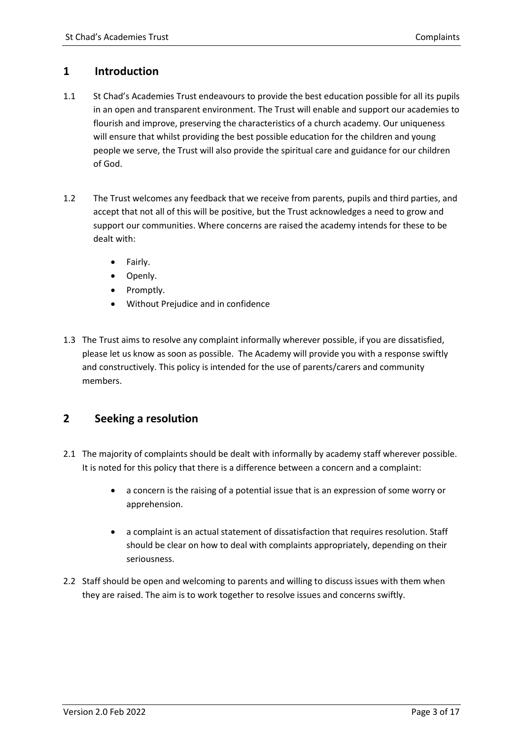# <span id="page-2-0"></span>**1 Introduction**

- 1.1 St Chad's Academies Trust endeavours to provide the best education possible for all its pupils in an open and transparent environment. The Trust will enable and support our academies to flourish and improve, preserving the characteristics of a church academy. Our uniqueness will ensure that whilst providing the best possible education for the children and young people we serve, the Trust will also provide the spiritual care and guidance for our children of God.
- 1.2 The Trust welcomes any feedback that we receive from parents, pupils and third parties, and accept that not all of this will be positive, but the Trust acknowledges a need to grow and support our communities. Where concerns are raised the academy intends for these to be dealt with:
	- Fairly.
	- Openly.
	- Promptly.
	- Without Prejudice and in confidence
- 1.3 The Trust aims to resolve any complaint informally wherever possible, if you are dissatisfied, please let us know as soon as possible. The Academy will provide you with a response swiftly and constructively. This policy is intended for the use of parents/carers and community members.

# <span id="page-2-1"></span>**2 Seeking a resolution**

- 2.1 The majority of complaints should be dealt with informally by academy staff wherever possible. It is noted for this policy that there is a difference between a concern and a complaint:
	- a concern is the raising of a potential issue that is an expression of some worry or apprehension.
	- a complaint is an actual statement of dissatisfaction that requires resolution. Staff should be clear on how to deal with complaints appropriately, depending on their seriousness.
- 2.2 Staff should be open and welcoming to parents and willing to discuss issues with them when they are raised. The aim is to work together to resolve issues and concerns swiftly.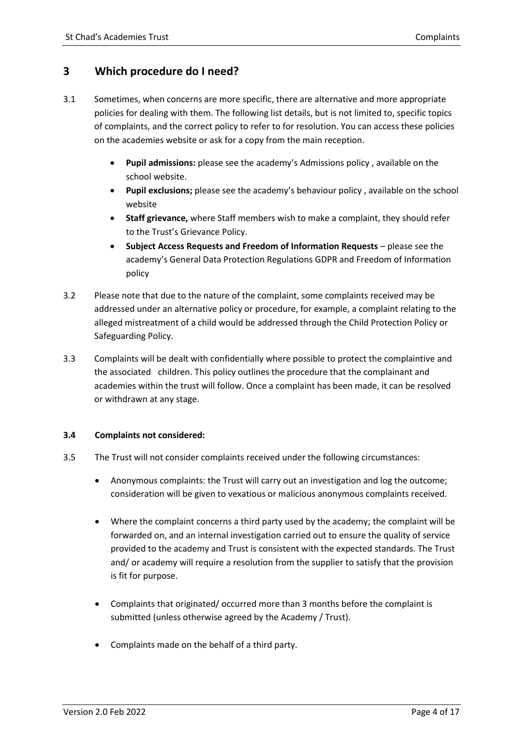#### <span id="page-3-0"></span>**3 Which procedure do I need?**

- 3.1 Sometimes, when concerns are more specific, there are alternative and more appropriate policies for dealing with them. The following list details, but is not limited to, specific topics of complaints, and the correct policy to refer to for resolution. You can access these policies on the academies website or ask for a copy from the main reception.
	- **Pupil admissions:** please see the academy's Admissions policy , available on the school website.
	- **Pupil exclusions;** please see the academy's behaviour policy , available on the school website
	- **Staff grievance,** where Staff members wish to make a complaint, they should refer to the Trust's Grievance Policy.
	- **Subject Access Requests and Freedom of Information Requests** please see the academy's General Data Protection Regulations GDPR and Freedom of Information policy
- 3.2 Please note that due to the nature of the complaint, some complaints received may be addressed under an alternative policy or procedure, for example, a complaint relating to the alleged mistreatment of a child would be addressed through the Child Protection Policy or Safeguarding Policy.
- 3.3 Complaints will be dealt with confidentially where possible to protect the complaintive and the associated children. This policy outlines the procedure that the complainant and academies within the trust will follow. Once a complaint has been made, it can be resolved or withdrawn at any stage.

#### **3.4 Complaints not considered:**

- 3.5 The Trust will not consider complaints received under the following circumstances:
	- Anonymous complaints: the Trust will carry out an investigation and log the outcome; consideration will be given to vexatious or malicious anonymous complaints received.
	- Where the complaint concerns a third party used by the academy; the complaint will be forwarded on, and an internal investigation carried out to ensure the quality of service provided to the academy and Trust is consistent with the expected standards. The Trust and/ or academy will require a resolution from the supplier to satisfy that the provision is fit for purpose.
	- Complaints that originated/ occurred more than 3 months before the complaint is submitted (unless otherwise agreed by the Academy / Trust).
	- Complaints made on the behalf of a third party.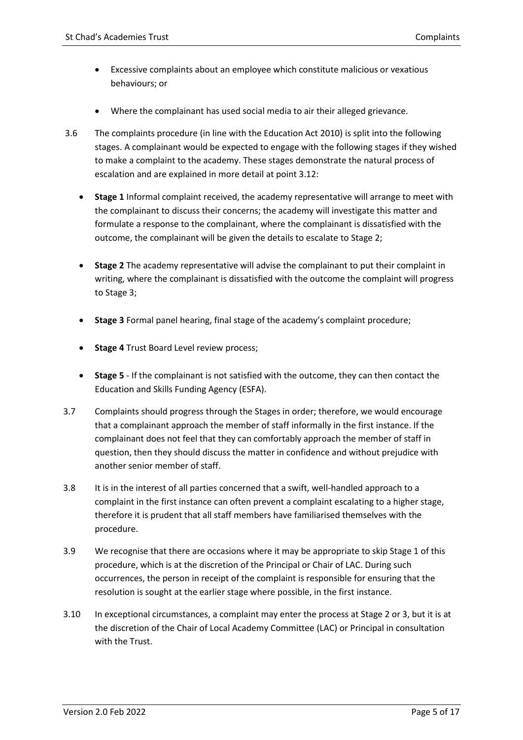- Excessive complaints about an employee which constitute malicious or vexatious behaviours; or
- Where the complainant has used social media to air their alleged grievance.
- 3.6 The complaints procedure (in line with the Education Act 2010) is split into the following stages. A complainant would be expected to engage with the following stages if they wished to make a complaint to the academy. These stages demonstrate the natural process of escalation and are explained in more detail at point 3.12:
	- **Stage 1** Informal complaint received, the academy representative will arrange to meet with the complainant to discuss their concerns; the academy will investigate this matter and formulate a response to the complainant, where the complainant is dissatisfied with the outcome, the complainant will be given the details to escalate to Stage 2;
	- **Stage 2** The academy representative will advise the complainant to put their complaint in writing, where the complainant is dissatisfied with the outcome the complaint will progress to Stage 3;
	- **Stage 3** Formal panel hearing, final stage of the academy's complaint procedure;
	- **Stage 4** Trust Board Level review process;
	- **Stage 5** If the complainant is not satisfied with the outcome, they can then contact the Education and Skills Funding Agency (ESFA).
- 3.7 Complaints should progress through the Stages in order; therefore, we would encourage that a complainant approach the member of staff informally in the first instance. If the complainant does not feel that they can comfortably approach the member of staff in question, then they should discuss the matter in confidence and without prejudice with another senior member of staff.
- 3.8 It is in the interest of all parties concerned that a swift, well-handled approach to a complaint in the first instance can often prevent a complaint escalating to a higher stage, therefore it is prudent that all staff members have familiarised themselves with the procedure.
- 3.9 We recognise that there are occasions where it may be appropriate to skip Stage 1 of this procedure, which is at the discretion of the Principal or Chair of LAC. During such occurrences, the person in receipt of the complaint is responsible for ensuring that the resolution is sought at the earlier stage where possible, in the first instance.
- 3.10 In exceptional circumstances, a complaint may enter the process at Stage 2 or 3, but it is at the discretion of the Chair of Local Academy Committee (LAC) or Principal in consultation with the Trust.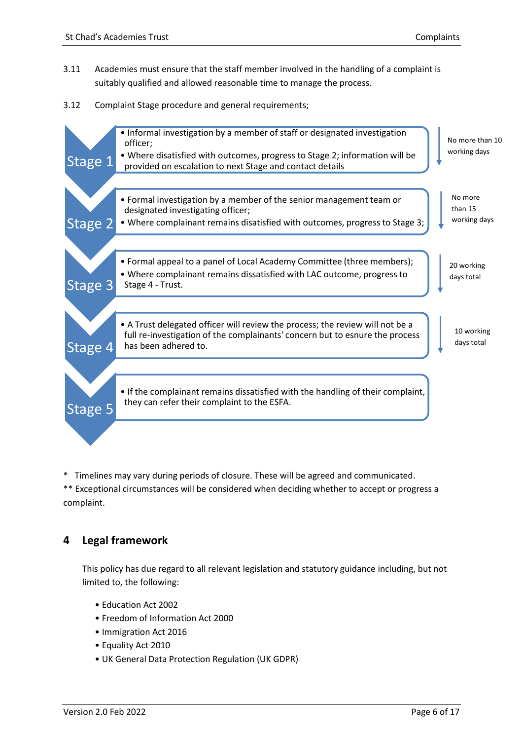- 3.11 Academies must ensure that the staff member involved in the handling of a complaint is suitably qualified and allowed reasonable time to manage the process.
- 3.12 Complaint Stage procedure and general requirements;



\* Timelines may vary during periods of closure. These will be agreed and communicated.

\*\* Exceptional circumstances will be considered when deciding whether to accept or progress a complaint.

# <span id="page-5-0"></span>**4 Legal framework**

This policy has due regard to all relevant legislation and statutory guidance including, but not limited to, the following:

- Education Act 2002
- Freedom of Information Act 2000
- Immigration Act 2016
- Equality Act 2010
- UK General Data Protection Regulation (UK GDPR)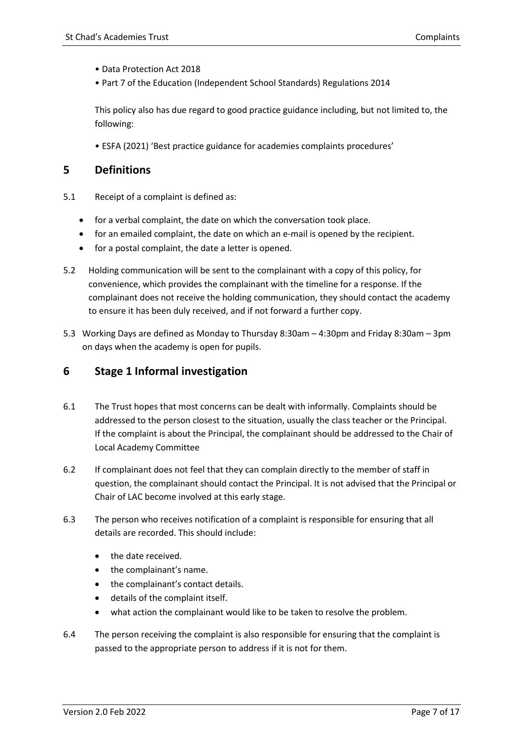- Data Protection Act 2018
- Part 7 of the Education (Independent School Standards) Regulations 2014

This policy also has due regard to good practice guidance including, but not limited to, the following:

<span id="page-6-0"></span>• ESFA (2021) 'Best practice guidance for academies complaints procedures'

#### **5 Definitions**

- 5.1 Receipt of a complaint is defined as:
	- for a verbal complaint, the date on which the conversation took place.
	- for an emailed complaint, the date on which an e-mail is opened by the recipient.
	- for a postal complaint, the date a letter is opened.
- 5.2 Holding communication will be sent to the complainant with a copy of this policy, for convenience, which provides the complainant with the timeline for a response. If the complainant does not receive the holding communication, they should contact the academy to ensure it has been duly received, and if not forward a further copy.
- 5.3 Working Days are defined as Monday to Thursday 8:30am 4:30pm and Friday 8:30am 3pm on days when the academy is open for pupils.

#### <span id="page-6-1"></span>**6 Stage 1 Informal investigation**

- 6.1 The Trust hopes that most concerns can be dealt with informally. Complaints should be addressed to the person closest to the situation, usually the class teacher or the Principal. If the complaint is about the Principal, the complainant should be addressed to the Chair of Local Academy Committee
- 6.2 If complainant does not feel that they can complain directly to the member of staff in question, the complainant should contact the Principal. It is not advised that the Principal or Chair of LAC become involved at this early stage.
- 6.3 The person who receives notification of a complaint is responsible for ensuring that all details are recorded. This should include:
	- the date received.
	- the complainant's name.
	- the complainant's contact details.
	- details of the complaint itself.
	- what action the complainant would like to be taken to resolve the problem.
- 6.4 The person receiving the complaint is also responsible for ensuring that the complaint is passed to the appropriate person to address if it is not for them.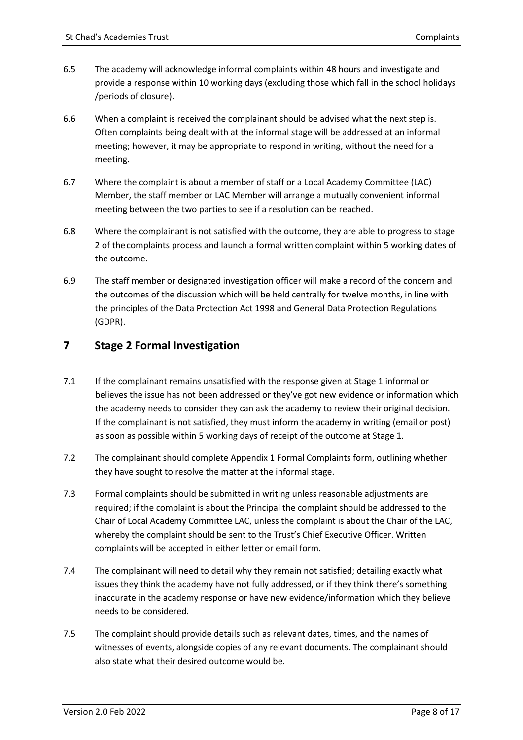- 6.5 The academy will acknowledge informal complaints within 48 hours and investigate and provide a response within 10 working days (excluding those which fall in the school holidays /periods of closure).
- 6.6 When a complaint is received the complainant should be advised what the next step is. Often complaints being dealt with at the informal stage will be addressed at an informal meeting; however, it may be appropriate to respond in writing, without the need for a meeting.
- 6.7 Where the complaint is about a member of staff or a Local Academy Committee (LAC) Member, the staff member or LAC Member will arrange a mutually convenient informal meeting between the two parties to see if a resolution can be reached.
- 6.8 Where the complainant is not satisfied with the outcome, they are able to progress to stage 2 of thecomplaints process and launch a formal written complaint within 5 working dates of the outcome.
- 6.9 The staff member or designated investigation officer will make a record of the concern and the outcomes of the discussion which will be held centrally for twelve months, in line with the principles of the Data Protection Act 1998 and General Data Protection Regulations (GDPR).

# <span id="page-7-0"></span>**7 Stage 2 Formal Investigation**

- 7.1 If the complainant remains unsatisfied with the response given at Stage 1 informal or believes the issue has not been addressed or they've got new evidence or information which the academy needs to consider they can ask the academy to review their original decision. If the complainant is not satisfied, they must inform the academy in writing (email or post) as soon as possible within 5 working days of receipt of the outcome at Stage 1.
- 7.2 The complainant should complete Appendix 1 Formal Complaints form, outlining whether they have sought to resolve the matter at the informal stage.
- 7.3 Formal complaints should be submitted in writing unless reasonable adjustments are required; if the complaint is about the Principal the complaint should be addressed to the Chair of Local Academy Committee LAC, unless the complaint is about the Chair of the LAC, whereby the complaint should be sent to the Trust's Chief Executive Officer. Written complaints will be accepted in either letter or email form.
- 7.4 The complainant will need to detail why they remain not satisfied; detailing exactly what issues they think the academy have not fully addressed, or if they think there's something inaccurate in the academy response or have new evidence/information which they believe needs to be considered.
- 7.5 The complaint should provide details such as relevant dates, times, and the names of witnesses of events, alongside copies of any relevant documents. The complainant should also state what their desired outcome would be.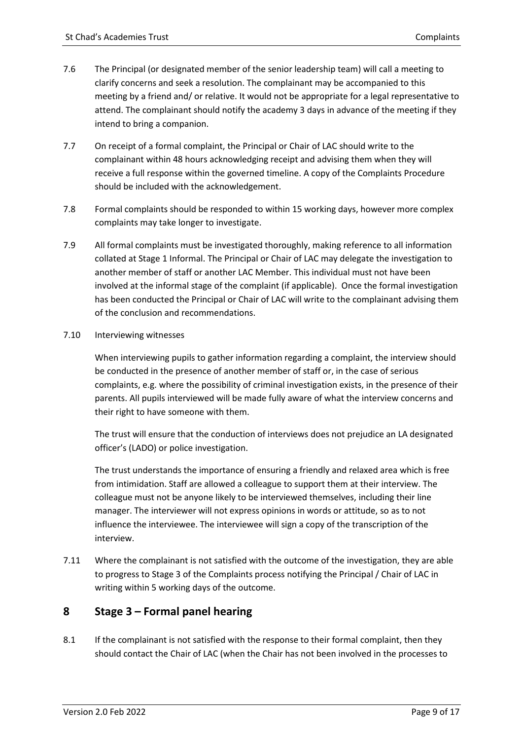- 7.6 The Principal (or designated member of the senior leadership team) will call a meeting to clarify concerns and seek a resolution. The complainant may be accompanied to this meeting by a friend and/ or relative. It would not be appropriate for a legal representative to attend. The complainant should notify the academy 3 days in advance of the meeting if they intend to bring a companion.
- 7.7 On receipt of a formal complaint, the Principal or Chair of LAC should write to the complainant within 48 hours acknowledging receipt and advising them when they will receive a full response within the governed timeline. A copy of the Complaints Procedure should be included with the acknowledgement.
- 7.8 Formal complaints should be responded to within 15 working days, however more complex complaints may take longer to investigate.
- 7.9 All formal complaints must be investigated thoroughly, making reference to all information collated at Stage 1 Informal. The Principal or Chair of LAC may delegate the investigation to another member of staff or another LAC Member. This individual must not have been involved at the informal stage of the complaint (if applicable). Once the formal investigation has been conducted the Principal or Chair of LAC will write to the complainant advising them of the conclusion and recommendations.

#### 7.10 Interviewing witnesses

When interviewing pupils to gather information regarding a complaint, the interview should be conducted in the presence of another member of staff or, in the case of serious complaints, e.g. where the possibility of criminal investigation exists, in the presence of their parents. All pupils interviewed will be made fully aware of what the interview concerns and their right to have someone with them.

The trust will ensure that the conduction of interviews does not prejudice an LA designated officer's (LADO) or police investigation.

The trust understands the importance of ensuring a friendly and relaxed area which is free from intimidation. Staff are allowed a colleague to support them at their interview. The colleague must not be anyone likely to be interviewed themselves, including their line manager. The interviewer will not express opinions in words or attitude, so as to not influence the interviewee. The interviewee will sign a copy of the transcription of the interview.

7.11 Where the complainant is not satisfied with the outcome of the investigation, they are able to progress to Stage 3 of the Complaints process notifying the Principal / Chair of LAC in writing within 5 working days of the outcome.

# <span id="page-8-0"></span>**8 Stage 3 – Formal panel hearing**

8.1 If the complainant is not satisfied with the response to their formal complaint, then they should contact the Chair of LAC (when the Chair has not been involved in the processes to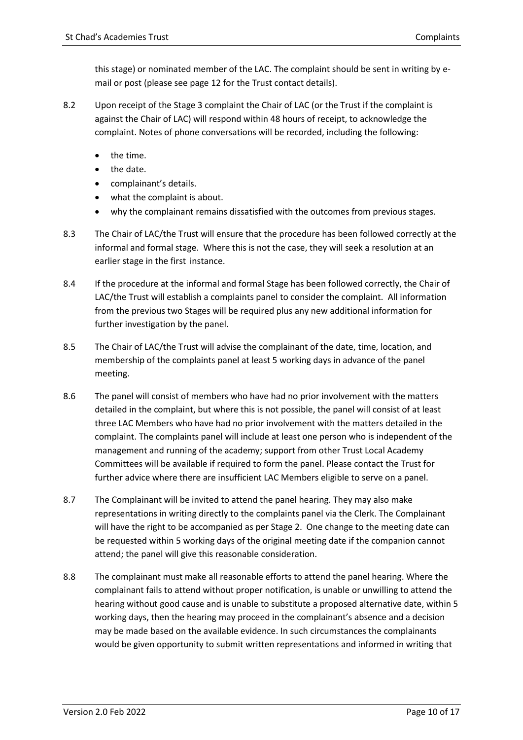this stage) or nominated member of the LAC. The complaint should be sent in writing by email or post (please see page 12 for the Trust contact details).

- 8.2 Upon receipt of the Stage 3 complaint the Chair of LAC (or the Trust if the complaint is against the Chair of LAC) will respond within 48 hours of receipt, to acknowledge the complaint. Notes of phone conversations will be recorded, including the following:
	- the time.
	- the date.
	- complainant's details.
	- what the complaint is about.
	- why the complainant remains dissatisfied with the outcomes from previous stages.
- 8.3 The Chair of LAC/the Trust will ensure that the procedure has been followed correctly at the informal and formal stage. Where this is not the case, they will seek a resolution at an earlier stage in the first instance.
- 8.4 If the procedure at the informal and formal Stage has been followed correctly, the Chair of LAC/the Trust will establish a complaints panel to consider the complaint. All information from the previous two Stages will be required plus any new additional information for further investigation by the panel.
- 8.5 The Chair of LAC/the Trust will advise the complainant of the date, time, location, and membership of the complaints panel at least 5 working days in advance of the panel meeting.
- 8.6 The panel will consist of members who have had no prior involvement with the matters detailed in the complaint, but where this is not possible, the panel will consist of at least three LAC Members who have had no prior involvement with the matters detailed in the complaint. The complaints panel will include at least one person who is independent of the management and running of the academy; support from other Trust Local Academy Committees will be available if required to form the panel. Please contact the Trust for further advice where there are insufficient LAC Members eligible to serve on a panel.
- 8.7 The Complainant will be invited to attend the panel hearing. They may also make representations in writing directly to the complaints panel via the Clerk. The Complainant will have the right to be accompanied as per Stage 2. One change to the meeting date can be requested within 5 working days of the original meeting date if the companion cannot attend; the panel will give this reasonable consideration.
- 8.8 The complainant must make all reasonable efforts to attend the panel hearing. Where the complainant fails to attend without proper notification, is unable or unwilling to attend the hearing without good cause and is unable to substitute a proposed alternative date, within 5 working days, then the hearing may proceed in the complainant's absence and a decision may be made based on the available evidence. In such circumstances the complainants would be given opportunity to submit written representations and informed in writing that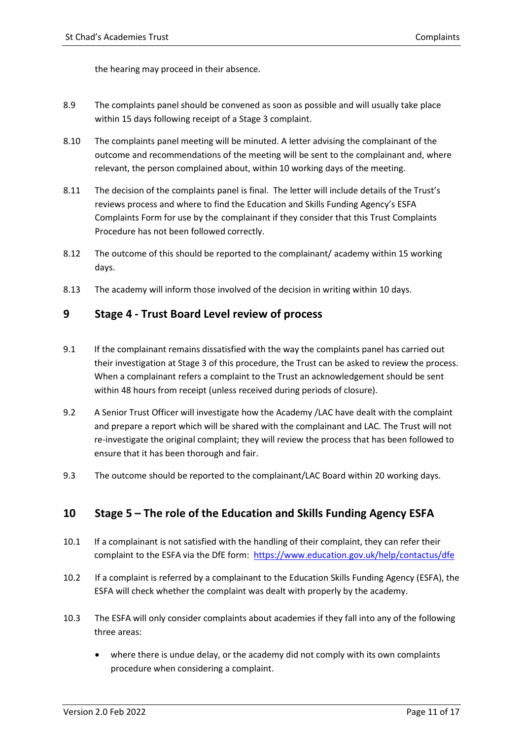the hearing may proceed in their absence.

- 8.9 The complaints panel should be convened as soon as possible and will usually take place within 15 days following receipt of a Stage 3 complaint.
- 8.10 The complaints panel meeting will be minuted. A letter advising the complainant of the outcome and recommendations of the meeting will be sent to the complainant and, where relevant, the person complained about, within 10 working days of the meeting.
- 8.11 The decision of the complaints panel is final. The letter will include details of the Trust's reviews process and where to find the Education and Skills Funding Agency's ESFA Complaints Form for use by the complainant if they consider that this Trust Complaints Procedure has not been followed correctly.
- 8.12 The outcome of this should be reported to the complainant/ academy within 15 working days.
- 8.13 The academy will inform those involved of the decision in writing within 10 days.

# <span id="page-10-0"></span>**9 Stage 4 - Trust Board Level review of process**

- 9.1 If the complainant remains dissatisfied with the way the complaints panel has carried out their investigation at Stage 3 of this procedure, the Trust can be asked to review the process. When a complainant refers a complaint to the Trust an acknowledgement should be sent within 48 hours from receipt (unless received during periods of closure).
- 9.2 A Senior Trust Officer will investigate how the Academy /LAC have dealt with the complaint and prepare a report which will be shared with the complainant and LAC. The Trust will not re-investigate the original complaint; they will review the process that has been followed to ensure that it has been thorough and fair.
- 9.3 The outcome should be reported to the complainant/LAC Board within 20 working days.

# <span id="page-10-1"></span>**10 Stage 5 – The role of the Education and Skills Funding Agency ESFA**

- 10.1 If a complainant is not satisfied with the handling of their complaint, they can refer their complaint to the ESFA via the DfE form: <https://www.education.gov.uk/help/contactus/dfe>
- 10.2 If a complaint is referred by a complainant to the Education Skills Funding Agency (ESFA), the ESFA will check whether the complaint was dealt with properly by the academy.
- 10.3 The ESFA will only consider complaints about academies if they fall into any of the following three areas:
	- where there is undue delay, or the academy did not comply with its own complaints procedure when considering a complaint.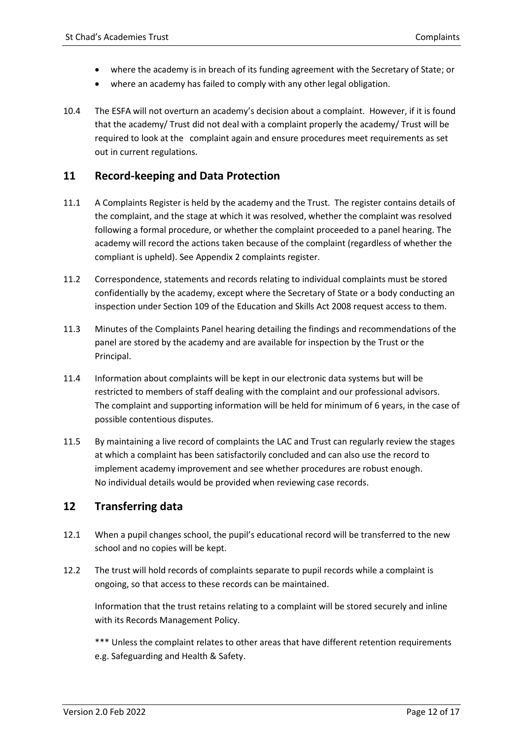- where the academy is in breach of its funding agreement with the Secretary of State; or
- where an academy has failed to comply with any other legal obligation.
- 10.4 The ESFA will not overturn an academy's decision about a complaint. However, if it is found that the academy/ Trust did not deal with a complaint properly the academy/ Trust will be required to look at the complaint again and ensure procedures meet requirements as set out in current regulations.

# <span id="page-11-0"></span>**11 Record-keeping and Data Protection**

- 11.1 A Complaints Register is held by the academy and the Trust. The register contains details of the complaint, and the stage at which it was resolved, whether the complaint was resolved following a formal procedure, or whether the complaint proceeded to a panel hearing. The academy will record the actions taken because of the complaint (regardless of whether the compliant is upheld). See Appendix 2 complaints register.
- 11.2 Correspondence, statements and records relating to individual complaints must be stored confidentially by the academy, except where the Secretary of State or a body conducting an inspection under Section 109 of the Education and Skills Act 2008 request access to them.
- 11.3 Minutes of the Complaints Panel hearing detailing the findings and recommendations of the panel are stored by the academy and are available for inspection by the Trust or the Principal.
- 11.4 Information about complaints will be kept in our electronic data systems but will be restricted to members of staff dealing with the complaint and our professional advisors. The complaint and supporting information will be held for minimum of 6 years, in the case of possible contentious disputes.
- 11.5 By maintaining a live record of complaints the LAC and Trust can regularly review the stages at which a complaint has been satisfactorily concluded and can also use the record to implement academy improvement and see whether procedures are robust enough. No individual details would be provided when reviewing case records.

# <span id="page-11-1"></span>**12 Transferring data**

- 12.1 When a pupil changes school, the pupil's educational record will be transferred to the new school and no copies will be kept.
- 12.2 The trust will hold records of complaints separate to pupil records while a complaint is ongoing, so that access to these records can be maintained.

Information that the trust retains relating to a complaint will be stored securely and inline with its Records Management Policy.

\*\*\* Unless the complaint relates to other areas that have different retention requirements e.g. Safeguarding and Health & Safety.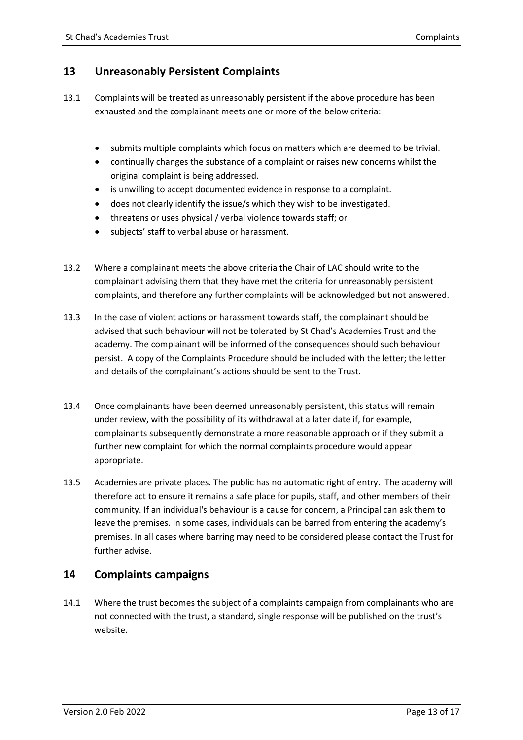# <span id="page-12-0"></span>**13 Unreasonably Persistent Complaints**

- 13.1 Complaints will be treated as unreasonably persistent if the above procedure has been exhausted and the complainant meets one or more of the below criteria:
	- submits multiple complaints which focus on matters which are deemed to be trivial.
	- continually changes the substance of a complaint or raises new concerns whilst the original complaint is being addressed.
	- is unwilling to accept documented evidence in response to a complaint.
	- does not clearly identify the issue/s which they wish to be investigated.
	- threatens or uses physical / verbal violence towards staff; or
	- subjects' staff to verbal abuse or harassment.
- 13.2 Where a complainant meets the above criteria the Chair of LAC should write to the complainant advising them that they have met the criteria for unreasonably persistent complaints, and therefore any further complaints will be acknowledged but not answered.
- 13.3 In the case of violent actions or harassment towards staff, the complainant should be advised that such behaviour will not be tolerated by St Chad's Academies Trust and the academy. The complainant will be informed of the consequences should such behaviour persist. A copy of the Complaints Procedure should be included with the letter; the letter and details of the complainant's actions should be sent to the Trust.
- 13.4 Once complainants have been deemed unreasonably persistent, this status will remain under review, with the possibility of its withdrawal at a later date if, for example, complainants subsequently demonstrate a more reasonable approach or if they submit a further new complaint for which the normal complaints procedure would appear appropriate.
- 13.5 Academies are private places. The public has no automatic right of entry. The academy will therefore act to ensure it remains a safe place for pupils, staff, and other members of their community. If an individual's behaviour is a cause for concern, a Principal can ask them to leave the premises. In some cases, individuals can be barred from entering the academy's premises. In all cases where barring may need to be considered please contact the Trust for further advise.

#### <span id="page-12-1"></span>**14 Complaints campaigns**

14.1 Where the trust becomes the subject of a complaints campaign from complainants who are not connected with the trust, a standard, single response will be published on the trust's website.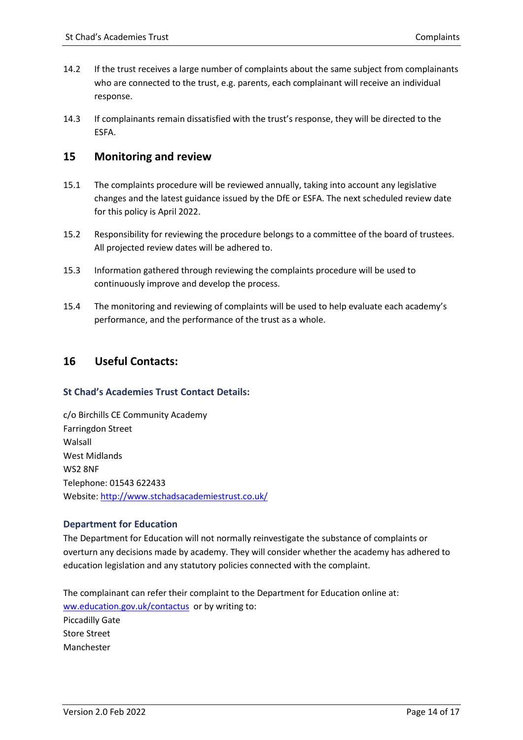- 14.2 If the trust receives a large number of complaints about the same subject from complainants who are connected to the trust, e.g. parents, each complainant will receive an individual response.
- 14.3 If complainants remain dissatisfied with the trust's response, they will be directed to the ESFA.

#### <span id="page-13-0"></span>**15 Monitoring and review**

- 15.1 The complaints procedure will be reviewed annually, taking into account any legislative changes and the latest guidance issued by the DfE or ESFA. The next scheduled review date for this policy is April 2022.
- 15.2 Responsibility for reviewing the procedure belongs to a committee of the board of trustees. All projected review dates will be adhered to.
- 15.3 Information gathered through reviewing the complaints procedure will be used to continuously improve and develop the process.
- 15.4 The monitoring and reviewing of complaints will be used to help evaluate each academy's performance, and the performance of the trust as a whole.

#### <span id="page-13-1"></span>**16 Useful Contacts:**

#### **St Chad's Academies Trust Contact Details:**

c/o Birchills CE Community Academy Farringdon Street Walsall West Midlands WS2 8NF Telephone: 01543 622433 Website[: http://www.stchadsacademiestrust.co.uk/](http://www.stchadsacademiestrust.co.uk/)

#### **Department for Education**

The Department for Education will not normally reinvestigate the substance of complaints or overturn any decisions made by academy. They will consider whether the academy has adhered to education legislation and any statutory policies connected with the complaint.

The complainant can refer their complaint to the Department for Education online at: [ww.education.gov.uk/contactus](file://///lichfield.anglican.local/diocese/Academies/CECET/HR%20&%20PM/Forms%20&%20Policies/Policies%20&%20Procedures/St%20Chad) or by writing to: Piccadilly Gate Store Street Manchester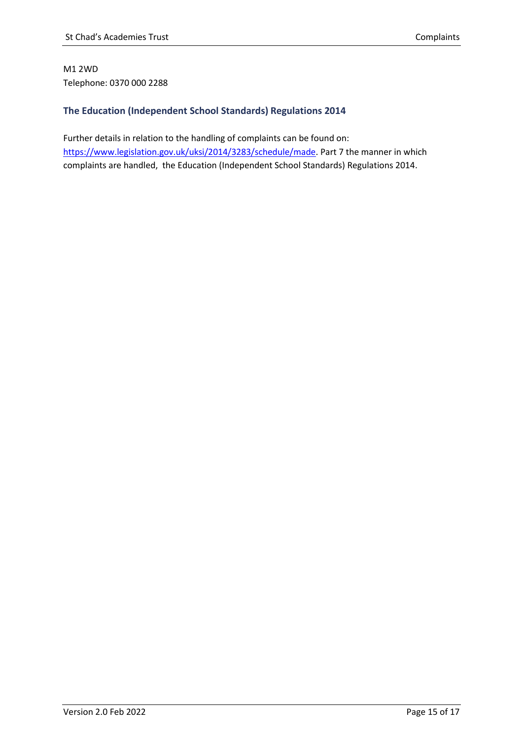#### M1 2WD Telephone: 0370 000 2288

#### **The Education (Independent School Standards) Regulations 2014**

Further details in relation to the handling of complaints can be found on: [https://www.legislation.gov.uk/uksi/2014/3283/schedule/made.](https://www.legislation.gov.uk/uksi/2014/3283/schedule/made) Part 7 the manner in which complaints are handled, the Education (Independent School Standards) Regulations 2014.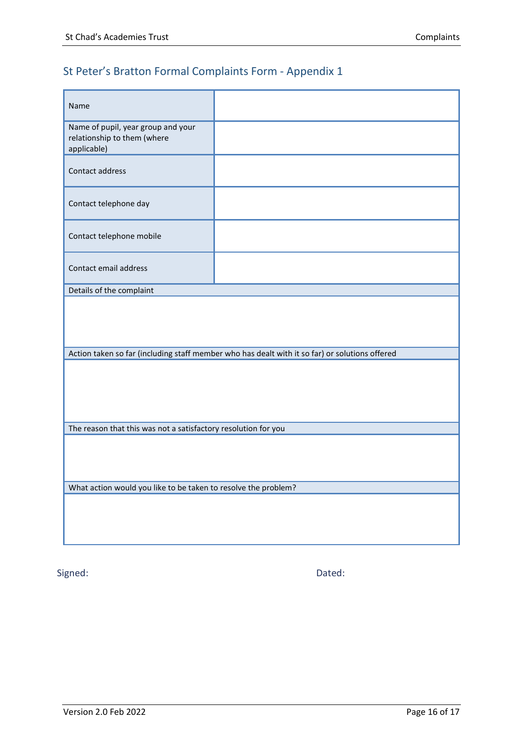# St Peter's Bratton Formal Complaints Form - Appendix 1

| Name                                                                             |                                                                                                |  |  |  |  |  |
|----------------------------------------------------------------------------------|------------------------------------------------------------------------------------------------|--|--|--|--|--|
| Name of pupil, year group and your<br>relationship to them (where<br>applicable) |                                                                                                |  |  |  |  |  |
| Contact address                                                                  |                                                                                                |  |  |  |  |  |
| Contact telephone day                                                            |                                                                                                |  |  |  |  |  |
| Contact telephone mobile                                                         |                                                                                                |  |  |  |  |  |
| Contact email address                                                            |                                                                                                |  |  |  |  |  |
| Details of the complaint                                                         |                                                                                                |  |  |  |  |  |
|                                                                                  |                                                                                                |  |  |  |  |  |
|                                                                                  | Action taken so far (including staff member who has dealt with it so far) or solutions offered |  |  |  |  |  |
|                                                                                  |                                                                                                |  |  |  |  |  |
| The reason that this was not a satisfactory resolution for you                   |                                                                                                |  |  |  |  |  |
|                                                                                  |                                                                                                |  |  |  |  |  |
| What action would you like to be taken to resolve the problem?                   |                                                                                                |  |  |  |  |  |
|                                                                                  |                                                                                                |  |  |  |  |  |

Signed: Dated: